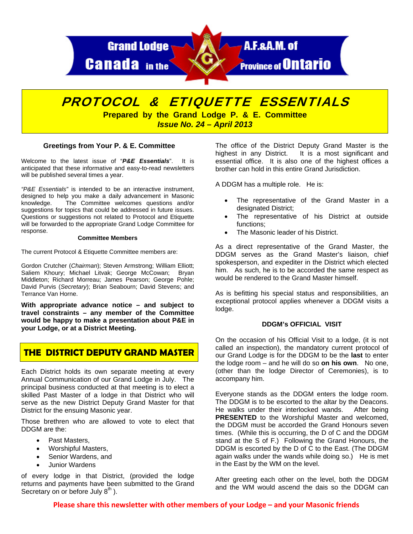

# PROTOCOL & ETIQUETTE ESSENTIALS **Prepared by the Grand Lodge P. & E. Committee**

*Issue No. 24 – April 2013* 

# **Greetings from Your P. & E. Committee**

Welcome to the latest issue of "*P&E Essentials*". It is anticipated that these informative and easy-to-read newsletters will be published several times a year.

*"P&E Essentials"* is intended to be an interactive instrument, designed to help you make a daily advancement in Masonic knowledge. The Committee welcomes questions and/or suggestions for topics that could be addressed in future issues. Questions or suggestions not related to Protocol and Etiquette will be forwarded to the appropriate Grand Lodge Committee for response.

#### **Committee Members**

The current Protocol & Etiquette Committee members are:

Gordon Crutcher (*Chairman*); Steven Armstrong; William Elliott; Saliem Khoury; Michael Litvak; George McCowan; Bryan Middleton; Richard Morreau; James Pearson; George Pohle; David Purvis (*Secretary*); Brian Seabourn; David Stevens; and Terrance Van Horne.

**With appropriate advance notice – and subject to travel constraints – any member of the Committee would be happy to make a presentation about P&E in your Lodge, or at a District Meeting.** 

# **THE DISTRICT DEPUTY GRAND MASTER**

Each District holds its own separate meeting at every Annual Communication of our Grand Lodge in July. The principal business conducted at that meeting is to elect a skilled Past Master of a lodge in that District who will serve as the new District Deputy Grand Master for that District for the ensuing Masonic year.

Those brethren who are allowed to vote to elect that DDGM are the:

- Past Masters,
- Worshipful Masters,
- Senior Wardens, and
- Junior Wardens

of every lodge in that District, (provided the lodge returns and payments have been submitted to the Grand Secretary on or before July  $8<sup>th</sup>$ ).

The office of the District Deputy Grand Master is the highest in any District. It is a most significant and essential office. It is also one of the highest offices a brother can hold in this entire Grand Jurisdiction.

A DDGM has a multiple role. He is:

- The representative of the Grand Master in a designated District;
- The representative of his District at outside functions;
- The Masonic leader of his District.

As a direct representative of the Grand Master, the DDGM serves as the Grand Master's liaison, chief spokesperson, and expediter in the District which elected him. As such, he is to be accorded the same respect as would be rendered to the Grand Master himself.

As is befitting his special status and responsibilities, an exceptional protocol applies whenever a DDGM visits a lodge.

### **DDGM's OFFICIAL VISIT**

On the occasion of his Official Visit to a lodge, (it is not called an inspection), the mandatory current protocol of our Grand Lodge is for the DDGM to be the **last** to enter the lodge room – and he will do so **on his own**. No one, (other than the lodge Director of Ceremonies), is to accompany him.

Everyone stands as the DDGM enters the lodge room. The DDGM is to be escorted to the altar by the Deacons. He walks under their interlocked wands. After being **PRESENTED** to the Worshipful Master and welcomed, the DDGM must be accorded the Grand Honours seven times. (While this is occurring, the D of C and the DDGM stand at the S of F.) Following the Grand Honours, the DDGM is escorted by the D of C to the East. (The DDGM again walks under the wands while doing so.) He is met in the East by the WM on the level.

After greeting each other on the level, both the DDGM and the WM would ascend the dais so the DDGM can